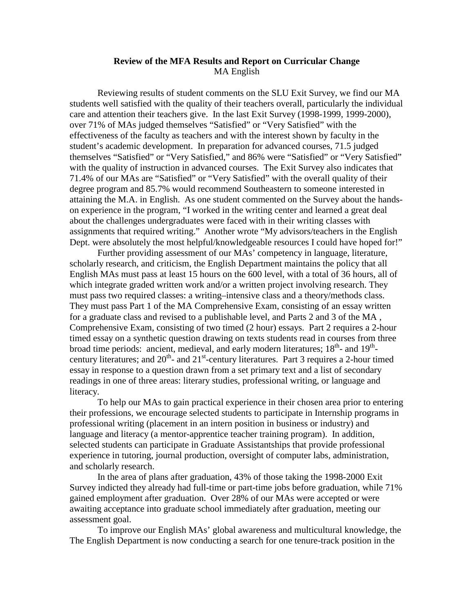## **Review of the MFA Results and Report on Curricular Change**  MA English

 Reviewing results of student comments on the SLU Exit Survey, we find our MA students well satisfied with the quality of their teachers overall, particularly the individual care and attention their teachers give. In the last Exit Survey (1998-1999, 1999-2000), over 71% of MAs judged themselves "Satisfied" or "Very Satisfied" with the effectiveness of the faculty as teachers and with the interest shown by faculty in the student's academic development. In preparation for advanced courses, 71.5 judged themselves "Satisfied" or "Very Satisfied," and 86% were "Satisfied" or "Very Satisfied" with the quality of instruction in advanced courses. The Exit Survey also indicates that 71.4% of our MAs are "Satisfied" or "Very Satisfied" with the overall quality of their degree program and 85.7% would recommend Southeastern to someone interested in attaining the M.A. in English. As one student commented on the Survey about the handson experience in the program, "I worked in the writing center and learned a great deal about the challenges undergraduates were faced with in their writing classes with assignments that required writing." Another wrote "My advisors/teachers in the English Dept. were absolutely the most helpful/knowledgeable resources I could have hoped for!"

Further providing assessment of our MAs' competency in language, literature, scholarly research, and criticism, the English Department maintains the policy that all English MAs must pass at least 15 hours on the 600 level, with a total of 36 hours, all of which integrate graded written work and/or a written project involving research. They must pass two required classes: a writing–intensive class and a theory/methods class. They must pass Part 1 of the MA Comprehensive Exam, consisting of an essay written for a graduate class and revised to a publishable level, and Parts 2 and 3 of the MA , Comprehensive Exam, consisting of two timed (2 hour) essays. Part 2 requires a 2-hour timed essay on a synthetic question drawing on texts students read in courses from three broad time periods: ancient, medieval, and early modern literatures;  $18<sup>th</sup>$ - and  $19<sup>th</sup>$ century literatures; and  $20<sup>th</sup>$  and  $21<sup>st</sup>$ -century literatures. Part 3 requires a 2-hour timed essay in response to a question drawn from a set primary text and a list of secondary readings in one of three areas: literary studies, professional writing, or language and literacy.

To help our MAs to gain practical experience in their chosen area prior to entering their professions, we encourage selected students to participate in Internship programs in professional writing (placement in an intern position in business or industry) and language and literacy (a mentor-apprentice teacher training program). In addition, selected students can participate in Graduate Assistantships that provide professional experience in tutoring, journal production, oversight of computer labs, administration, and scholarly research.

 In the area of plans after graduation, 43% of those taking the 1998-2000 Exit Survey indicted they already had full-time or part-time jobs before graduation, while 71% gained employment after graduation. Over 28% of our MAs were accepted or were awaiting acceptance into graduate school immediately after graduation, meeting our assessment goal.

To improve our English MAs' global awareness and multicultural knowledge, the The English Department is now conducting a search for one tenure-track position in the